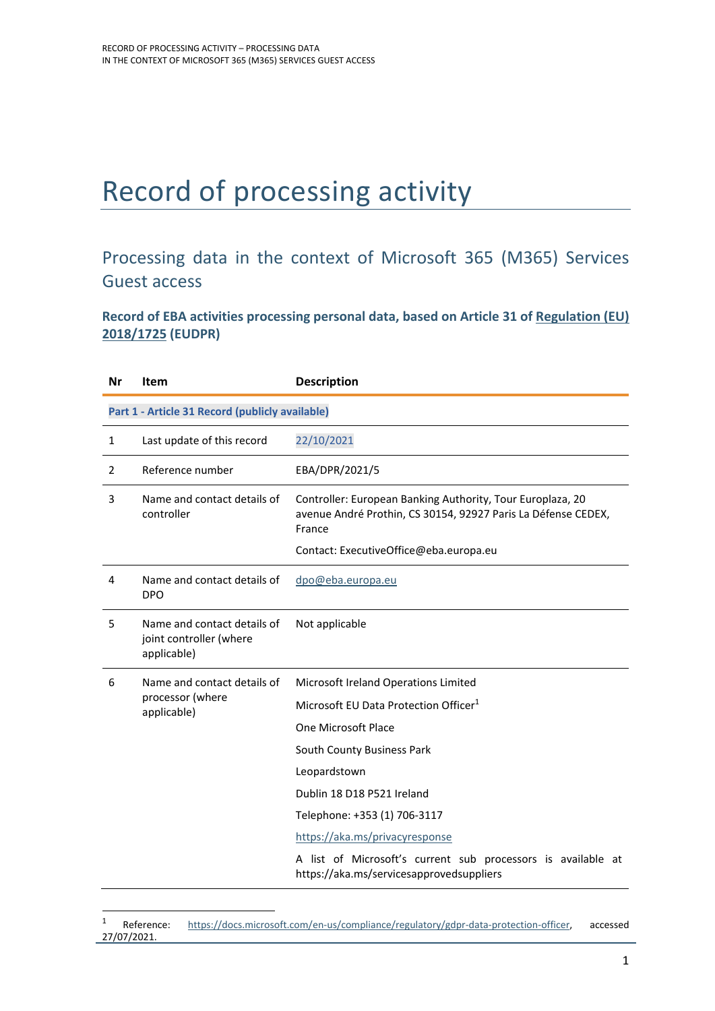## Record of processing activity

## Processing data in the context of Microsoft 365 (M365) Services Guest access

**Record of EBA activities processing personal data, based on Article 31 of Regulation (EU) 2018/1725 (EUDPR)**

| Nr | <b>Item</b>                                                           | <b>Description</b>                                                                                                                    |  |
|----|-----------------------------------------------------------------------|---------------------------------------------------------------------------------------------------------------------------------------|--|
|    | Part 1 - Article 31 Record (publicly available)                       |                                                                                                                                       |  |
| 1  | Last update of this record                                            | 22/10/2021                                                                                                                            |  |
| 2  | Reference number                                                      | EBA/DPR/2021/5                                                                                                                        |  |
| 3  | Name and contact details of<br>controller                             | Controller: European Banking Authority, Tour Europlaza, 20<br>avenue André Prothin, CS 30154, 92927 Paris La Défense CEDEX,<br>France |  |
|    |                                                                       | Contact: ExecutiveOffice@eba.europa.eu                                                                                                |  |
| 4  | Name and contact details of<br><b>DPO</b>                             | dpo@eba.europa.eu                                                                                                                     |  |
| 5  | Name and contact details of<br>joint controller (where<br>applicable) | Not applicable                                                                                                                        |  |
| 6  | Name and contact details of<br>processor (where<br>applicable)        | Microsoft Ireland Operations Limited                                                                                                  |  |
|    |                                                                       | Microsoft EU Data Protection Officer <sup>1</sup>                                                                                     |  |
|    |                                                                       | One Microsoft Place                                                                                                                   |  |
|    |                                                                       | South County Business Park                                                                                                            |  |
|    |                                                                       | Leopardstown                                                                                                                          |  |
|    |                                                                       | Dublin 18 D18 P521 Ireland                                                                                                            |  |
|    |                                                                       | Telephone: +353 (1) 706-3117                                                                                                          |  |
|    |                                                                       | https://aka.ms/privacyresponse                                                                                                        |  |
|    |                                                                       | A list of Microsoft's current sub processors is available at<br>https://aka.ms/servicesapprovedsuppliers                              |  |

<sup>1</sup> Reference: https://docs.microsoft.com/en-us/compliance/regulatory/gdpr-data-protection-officer, accessed 27/07/2021.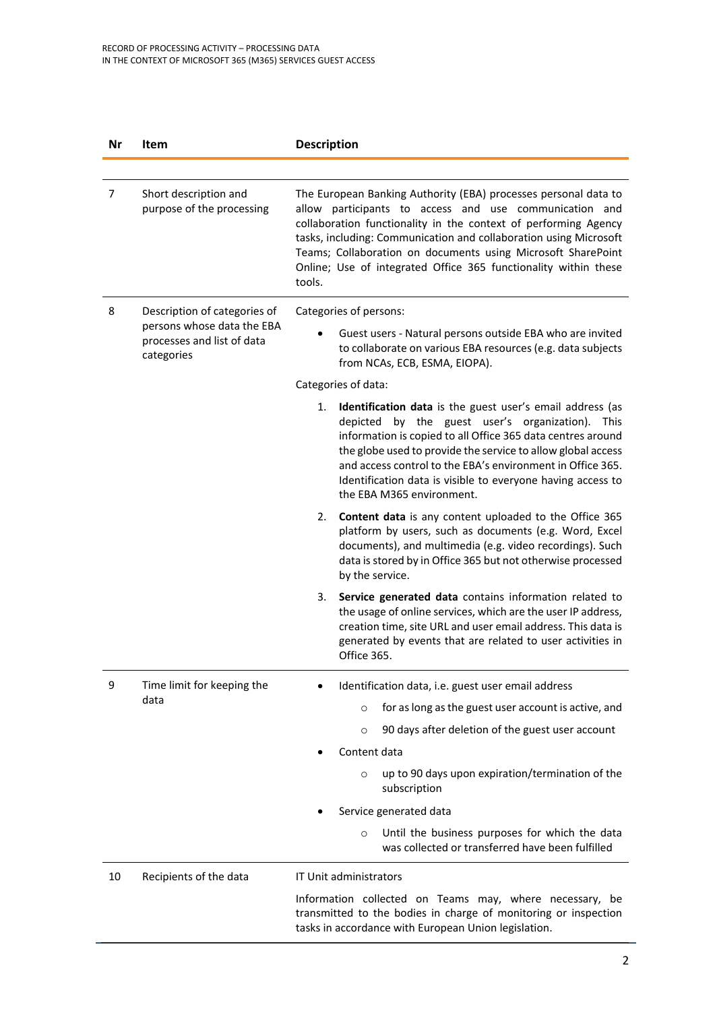| Nr | Item                                                                   | <b>Description</b>                                                                                                                                                                                                                                                                                                                                                                                             |
|----|------------------------------------------------------------------------|----------------------------------------------------------------------------------------------------------------------------------------------------------------------------------------------------------------------------------------------------------------------------------------------------------------------------------------------------------------------------------------------------------------|
|    |                                                                        |                                                                                                                                                                                                                                                                                                                                                                                                                |
| 7  | Short description and<br>purpose of the processing                     | The European Banking Authority (EBA) processes personal data to<br>allow participants to access and use communication and<br>collaboration functionality in the context of performing Agency<br>tasks, including: Communication and collaboration using Microsoft<br>Teams; Collaboration on documents using Microsoft SharePoint<br>Online; Use of integrated Office 365 functionality within these<br>tools. |
| 8  | Description of categories of                                           | Categories of persons:                                                                                                                                                                                                                                                                                                                                                                                         |
|    | persons whose data the EBA<br>processes and list of data<br>categories | Guest users - Natural persons outside EBA who are invited<br>to collaborate on various EBA resources (e.g. data subjects<br>from NCAs, ECB, ESMA, EIOPA).                                                                                                                                                                                                                                                      |
|    |                                                                        | Categories of data:                                                                                                                                                                                                                                                                                                                                                                                            |
|    |                                                                        | Identification data is the guest user's email address (as<br>1.<br>depicted by the guest user's organization). This<br>information is copied to all Office 365 data centres around<br>the globe used to provide the service to allow global access<br>and access control to the EBA's environment in Office 365.<br>Identification data is visible to everyone having access to<br>the EBA M365 environment.   |
|    |                                                                        | Content data is any content uploaded to the Office 365<br>2.<br>platform by users, such as documents (e.g. Word, Excel<br>documents), and multimedia (e.g. video recordings). Such<br>data is stored by in Office 365 but not otherwise processed<br>by the service.                                                                                                                                           |
|    |                                                                        | Service generated data contains information related to<br>3.<br>the usage of online services, which are the user IP address,<br>creation time, site URL and user email address. This data is<br>generated by events that are related to user activities in<br>Office 365.                                                                                                                                      |
| 9  | Time limit for keeping the                                             | Identification data, i.e. guest user email address                                                                                                                                                                                                                                                                                                                                                             |
|    | data                                                                   | for as long as the guest user account is active, and<br>$\circ$                                                                                                                                                                                                                                                                                                                                                |
|    |                                                                        | 90 days after deletion of the guest user account<br>$\circ$                                                                                                                                                                                                                                                                                                                                                    |
|    |                                                                        | Content data                                                                                                                                                                                                                                                                                                                                                                                                   |
|    |                                                                        | up to 90 days upon expiration/termination of the<br>$\circ$<br>subscription                                                                                                                                                                                                                                                                                                                                    |
|    |                                                                        | Service generated data                                                                                                                                                                                                                                                                                                                                                                                         |
|    |                                                                        | Until the business purposes for which the data<br>$\circ$<br>was collected or transferred have been fulfilled                                                                                                                                                                                                                                                                                                  |
| 10 | Recipients of the data                                                 | IT Unit administrators                                                                                                                                                                                                                                                                                                                                                                                         |
|    |                                                                        | Information collected on Teams may, where necessary, be<br>transmitted to the bodies in charge of monitoring or inspection<br>tasks in accordance with European Union legislation.                                                                                                                                                                                                                             |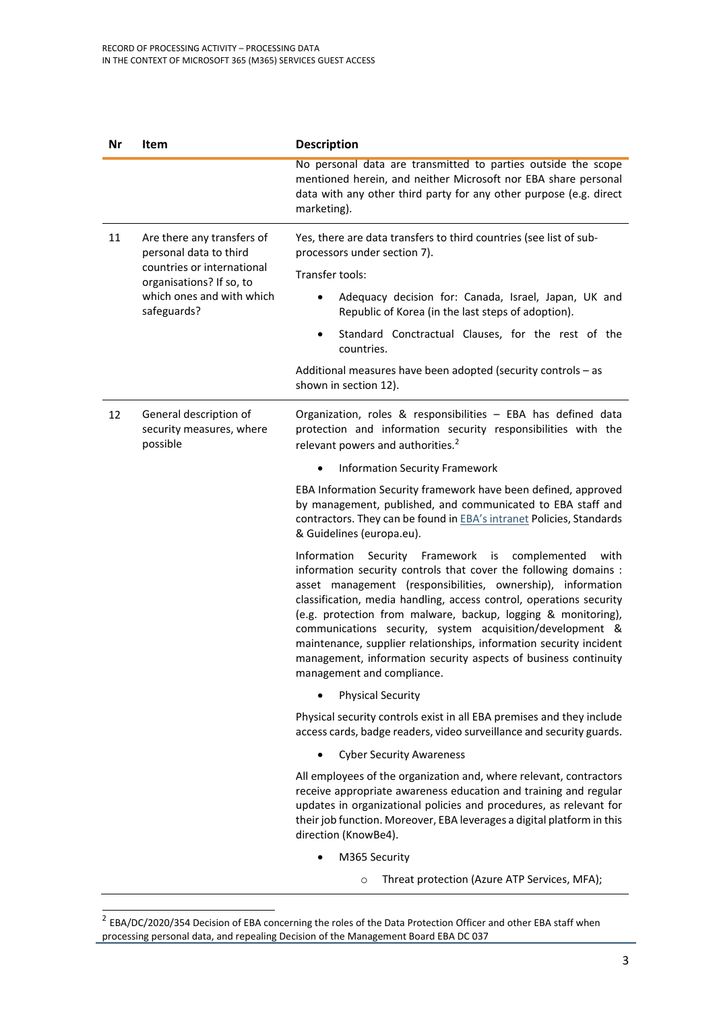| Nr | Item                                                                                                           | <b>Description</b>                                                                                                                                                                                                                                                                                                                                                                                                                                                                                                                                                             |  |
|----|----------------------------------------------------------------------------------------------------------------|--------------------------------------------------------------------------------------------------------------------------------------------------------------------------------------------------------------------------------------------------------------------------------------------------------------------------------------------------------------------------------------------------------------------------------------------------------------------------------------------------------------------------------------------------------------------------------|--|
|    |                                                                                                                | No personal data are transmitted to parties outside the scope<br>mentioned herein, and neither Microsoft nor EBA share personal<br>data with any other third party for any other purpose (e.g. direct<br>marketing).                                                                                                                                                                                                                                                                                                                                                           |  |
| 11 | Are there any transfers of<br>personal data to third<br>countries or international<br>organisations? If so, to | Yes, there are data transfers to third countries (see list of sub-<br>processors under section 7).                                                                                                                                                                                                                                                                                                                                                                                                                                                                             |  |
|    |                                                                                                                | Transfer tools:                                                                                                                                                                                                                                                                                                                                                                                                                                                                                                                                                                |  |
|    | which ones and with which<br>safeguards?                                                                       | Adequacy decision for: Canada, Israel, Japan, UK and<br>Republic of Korea (in the last steps of adoption).                                                                                                                                                                                                                                                                                                                                                                                                                                                                     |  |
|    |                                                                                                                | Standard Conctractual Clauses, for the rest of the<br>$\bullet$<br>countries.                                                                                                                                                                                                                                                                                                                                                                                                                                                                                                  |  |
|    |                                                                                                                | Additional measures have been adopted (security controls - as<br>shown in section 12).                                                                                                                                                                                                                                                                                                                                                                                                                                                                                         |  |
| 12 | General description of<br>security measures, where<br>possible                                                 | Organization, roles & responsibilities - EBA has defined data<br>protection and information security responsibilities with the<br>relevant powers and authorities. <sup>2</sup>                                                                                                                                                                                                                                                                                                                                                                                                |  |
|    |                                                                                                                | <b>Information Security Framework</b>                                                                                                                                                                                                                                                                                                                                                                                                                                                                                                                                          |  |
|    |                                                                                                                | EBA Information Security framework have been defined, approved<br>by management, published, and communicated to EBA staff and<br>contractors. They can be found in EBA's intranet Policies, Standards<br>& Guidelines (europa.eu).                                                                                                                                                                                                                                                                                                                                             |  |
|    |                                                                                                                | Information<br>Security Framework<br>is<br>with<br>complemented<br>information security controls that cover the following domains :<br>asset management (responsibilities, ownership), information<br>classification, media handling, access control, operations security<br>(e.g. protection from malware, backup, logging & monitoring),<br>communications security, system acquisition/development &<br>maintenance, supplier relationships, information security incident<br>management, information security aspects of business continuity<br>management and compliance. |  |
|    |                                                                                                                | <b>Physical Security</b><br>$\bullet$                                                                                                                                                                                                                                                                                                                                                                                                                                                                                                                                          |  |
|    |                                                                                                                | Physical security controls exist in all EBA premises and they include<br>access cards, badge readers, video surveillance and security guards.                                                                                                                                                                                                                                                                                                                                                                                                                                  |  |
|    |                                                                                                                | <b>Cyber Security Awareness</b><br>$\bullet$                                                                                                                                                                                                                                                                                                                                                                                                                                                                                                                                   |  |
|    |                                                                                                                | All employees of the organization and, where relevant, contractors<br>receive appropriate awareness education and training and regular<br>updates in organizational policies and procedures, as relevant for<br>their job function. Moreover, EBA leverages a digital platform in this<br>direction (KnowBe4).                                                                                                                                                                                                                                                                 |  |
|    |                                                                                                                | M365 Security                                                                                                                                                                                                                                                                                                                                                                                                                                                                                                                                                                  |  |

o Threat protection (Azure ATP Services, MFA);

 $^2$  EBA/DC/2020/354 Decision of EBA concerning the roles of the Data Protection Officer and other EBA staff when processing personal data, and repealing Decision of the Management Board EBA DC 037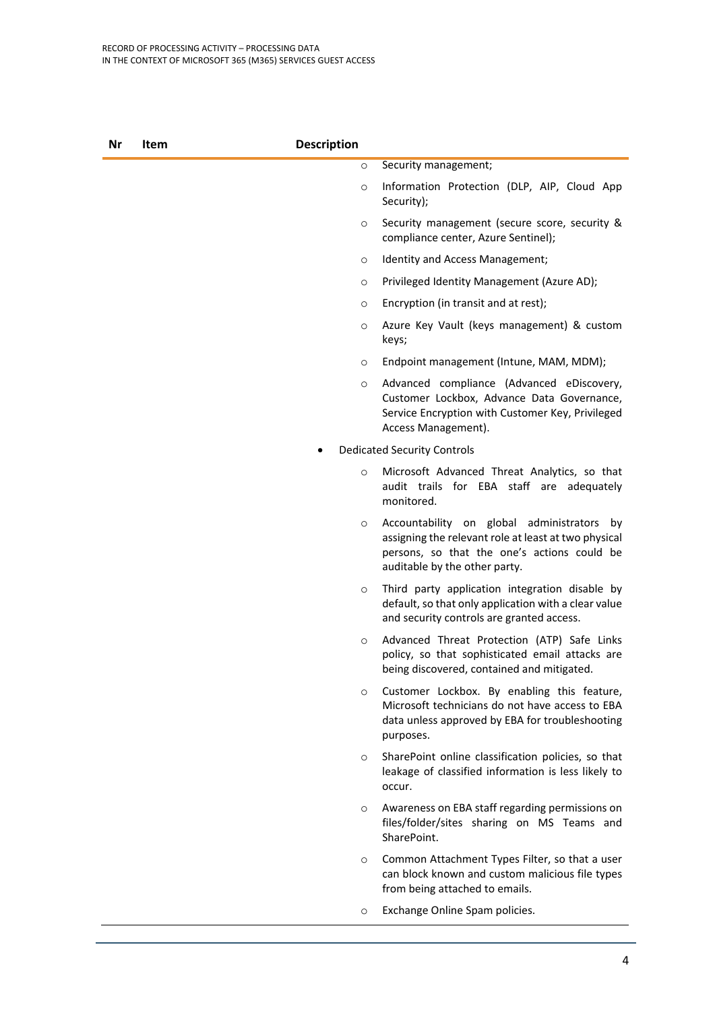| Security management;<br>$\circ$<br>$\circ$<br>Security);<br>$\circ$<br>compliance center, Azure Sentinel);<br>Identity and Access Management;<br>$\circ$<br>Privileged Identity Management (Azure AD);<br>$\circ$<br>Encryption (in transit and at rest);<br>O<br>O<br>keys;<br>Endpoint management (Intune, MAM, MDM);<br>$\circ$<br>$\circ$<br>Access Management).<br><b>Dedicated Security Controls</b><br>$\circ$<br>monitored.<br>$\circ$<br>auditable by the other party.<br>$\circ$<br>and security controls are granted access.<br>$\circ$<br>being discovered, contained and mitigated.<br>$\circ$<br>purposes.<br>$\circ$<br>occur.<br>$\circ$<br>SharePoint.<br>$\circ$<br>from being attached to emails.<br>Exchange Online Spam policies.<br>$\circ$ | Nr | Item | <b>Description</b> |                                                                                                                                                   |
|-------------------------------------------------------------------------------------------------------------------------------------------------------------------------------------------------------------------------------------------------------------------------------------------------------------------------------------------------------------------------------------------------------------------------------------------------------------------------------------------------------------------------------------------------------------------------------------------------------------------------------------------------------------------------------------------------------------------------------------------------------------------|----|------|--------------------|---------------------------------------------------------------------------------------------------------------------------------------------------|
|                                                                                                                                                                                                                                                                                                                                                                                                                                                                                                                                                                                                                                                                                                                                                                   |    |      |                    |                                                                                                                                                   |
|                                                                                                                                                                                                                                                                                                                                                                                                                                                                                                                                                                                                                                                                                                                                                                   |    |      |                    | Information Protection (DLP, AIP, Cloud App                                                                                                       |
|                                                                                                                                                                                                                                                                                                                                                                                                                                                                                                                                                                                                                                                                                                                                                                   |    |      |                    | Security management (secure score, security &                                                                                                     |
|                                                                                                                                                                                                                                                                                                                                                                                                                                                                                                                                                                                                                                                                                                                                                                   |    |      |                    |                                                                                                                                                   |
|                                                                                                                                                                                                                                                                                                                                                                                                                                                                                                                                                                                                                                                                                                                                                                   |    |      |                    |                                                                                                                                                   |
|                                                                                                                                                                                                                                                                                                                                                                                                                                                                                                                                                                                                                                                                                                                                                                   |    |      |                    |                                                                                                                                                   |
|                                                                                                                                                                                                                                                                                                                                                                                                                                                                                                                                                                                                                                                                                                                                                                   |    |      |                    | Azure Key Vault (keys management) & custom                                                                                                        |
|                                                                                                                                                                                                                                                                                                                                                                                                                                                                                                                                                                                                                                                                                                                                                                   |    |      |                    |                                                                                                                                                   |
|                                                                                                                                                                                                                                                                                                                                                                                                                                                                                                                                                                                                                                                                                                                                                                   |    |      |                    | Advanced compliance (Advanced eDiscovery,<br>Customer Lockbox, Advance Data Governance,<br>Service Encryption with Customer Key, Privileged       |
|                                                                                                                                                                                                                                                                                                                                                                                                                                                                                                                                                                                                                                                                                                                                                                   |    |      |                    |                                                                                                                                                   |
|                                                                                                                                                                                                                                                                                                                                                                                                                                                                                                                                                                                                                                                                                                                                                                   |    |      |                    | Microsoft Advanced Threat Analytics, so that<br>audit trails for EBA staff are adequately                                                         |
|                                                                                                                                                                                                                                                                                                                                                                                                                                                                                                                                                                                                                                                                                                                                                                   |    |      |                    | Accountability on global administrators by<br>assigning the relevant role at least at two physical<br>persons, so that the one's actions could be |
|                                                                                                                                                                                                                                                                                                                                                                                                                                                                                                                                                                                                                                                                                                                                                                   |    |      |                    | Third party application integration disable by<br>default, so that only application with a clear value                                            |
|                                                                                                                                                                                                                                                                                                                                                                                                                                                                                                                                                                                                                                                                                                                                                                   |    |      |                    | Advanced Threat Protection (ATP) Safe Links<br>policy, so that sophisticated email attacks are                                                    |
|                                                                                                                                                                                                                                                                                                                                                                                                                                                                                                                                                                                                                                                                                                                                                                   |    |      |                    | Customer Lockbox. By enabling this feature,<br>Microsoft technicians do not have access to EBA<br>data unless approved by EBA for troubleshooting |
|                                                                                                                                                                                                                                                                                                                                                                                                                                                                                                                                                                                                                                                                                                                                                                   |    |      |                    | SharePoint online classification policies, so that<br>leakage of classified information is less likely to                                         |
|                                                                                                                                                                                                                                                                                                                                                                                                                                                                                                                                                                                                                                                                                                                                                                   |    |      |                    | Awareness on EBA staff regarding permissions on<br>files/folder/sites sharing on MS Teams and                                                     |
|                                                                                                                                                                                                                                                                                                                                                                                                                                                                                                                                                                                                                                                                                                                                                                   |    |      |                    | Common Attachment Types Filter, so that a user<br>can block known and custom malicious file types                                                 |
|                                                                                                                                                                                                                                                                                                                                                                                                                                                                                                                                                                                                                                                                                                                                                                   |    |      |                    |                                                                                                                                                   |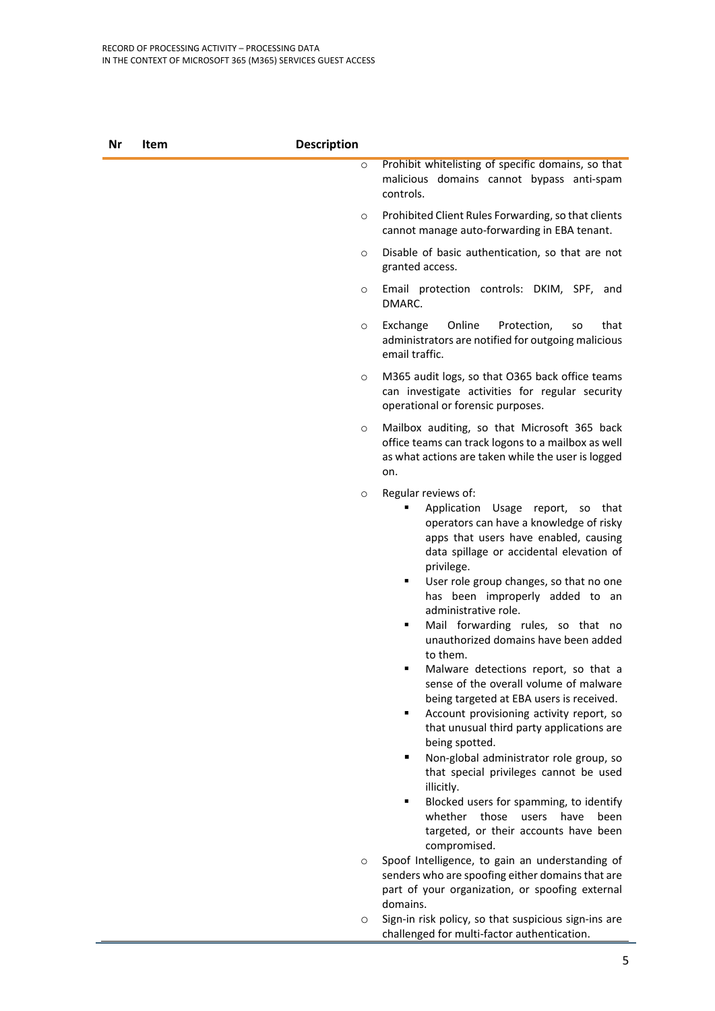| Nr | Item | <b>Description</b> |                                                                                                                                                                                                                                                                                                                                                                                                                                                                                                                                                                                                                                                                                                                                                                                                                                                                                                                                                                                                                                                                                   |
|----|------|--------------------|-----------------------------------------------------------------------------------------------------------------------------------------------------------------------------------------------------------------------------------------------------------------------------------------------------------------------------------------------------------------------------------------------------------------------------------------------------------------------------------------------------------------------------------------------------------------------------------------------------------------------------------------------------------------------------------------------------------------------------------------------------------------------------------------------------------------------------------------------------------------------------------------------------------------------------------------------------------------------------------------------------------------------------------------------------------------------------------|
|    |      | $\circ$            | Prohibit whitelisting of specific domains, so that<br>malicious domains cannot bypass anti-spam<br>controls.                                                                                                                                                                                                                                                                                                                                                                                                                                                                                                                                                                                                                                                                                                                                                                                                                                                                                                                                                                      |
|    |      | $\circ$            | Prohibited Client Rules Forwarding, so that clients<br>cannot manage auto-forwarding in EBA tenant.                                                                                                                                                                                                                                                                                                                                                                                                                                                                                                                                                                                                                                                                                                                                                                                                                                                                                                                                                                               |
|    |      | $\circ$            | Disable of basic authentication, so that are not<br>granted access.                                                                                                                                                                                                                                                                                                                                                                                                                                                                                                                                                                                                                                                                                                                                                                                                                                                                                                                                                                                                               |
|    |      | $\circ$            | Email protection controls: DKIM, SPF, and<br>DMARC.                                                                                                                                                                                                                                                                                                                                                                                                                                                                                                                                                                                                                                                                                                                                                                                                                                                                                                                                                                                                                               |
|    |      | $\circ$            | Online<br>Exchange<br>Protection,<br>that<br>so<br>administrators are notified for outgoing malicious<br>email traffic.                                                                                                                                                                                                                                                                                                                                                                                                                                                                                                                                                                                                                                                                                                                                                                                                                                                                                                                                                           |
|    |      | $\circ$            | M365 audit logs, so that O365 back office teams<br>can investigate activities for regular security<br>operational or forensic purposes.                                                                                                                                                                                                                                                                                                                                                                                                                                                                                                                                                                                                                                                                                                                                                                                                                                                                                                                                           |
|    |      | $\circ$            | Mailbox auditing, so that Microsoft 365 back<br>office teams can track logons to a mailbox as well<br>as what actions are taken while the user is logged<br>on.                                                                                                                                                                                                                                                                                                                                                                                                                                                                                                                                                                                                                                                                                                                                                                                                                                                                                                                   |
|    |      | $\circ$<br>$\circ$ | Regular reviews of:<br>Application Usage report, so that<br>operators can have a knowledge of risky<br>apps that users have enabled, causing<br>data spillage or accidental elevation of<br>privilege.<br>User role group changes, so that no one<br>٠<br>has been improperly added to an<br>administrative role.<br>Mail forwarding rules, so that no<br>٠<br>unauthorized domains have been added<br>to them.<br>Malware detections report, so that a<br>٠<br>sense of the overall volume of malware<br>being targeted at EBA users is received.<br>Account provisioning activity report, so<br>٠<br>that unusual third party applications are<br>being spotted.<br>Non-global administrator role group, so<br>٠<br>that special privileges cannot be used<br>illicitly.<br>Blocked users for spamming, to identify<br>٠<br>whether those users have<br>been<br>targeted, or their accounts have been<br>compromised.<br>Spoof Intelligence, to gain an understanding of<br>senders who are spoofing either domains that are<br>part of your organization, or spoofing external |
|    |      | $\circ$            | domains.<br>Sign-in risk policy, so that suspicious sign-ins are                                                                                                                                                                                                                                                                                                                                                                                                                                                                                                                                                                                                                                                                                                                                                                                                                                                                                                                                                                                                                  |
|    |      |                    | challenged for multi-factor authentication.                                                                                                                                                                                                                                                                                                                                                                                                                                                                                                                                                                                                                                                                                                                                                                                                                                                                                                                                                                                                                                       |